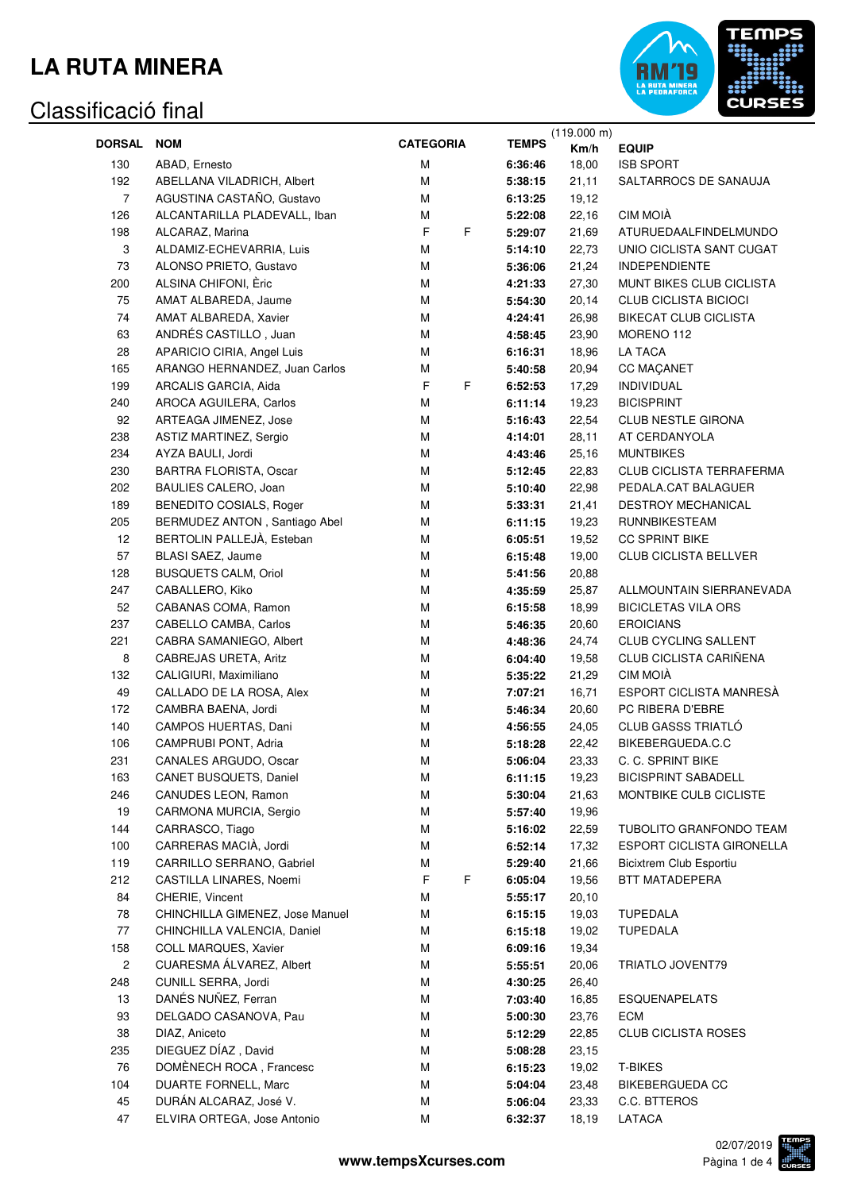

|                |                                 |                  |              | (119.000 m) |                              |
|----------------|---------------------------------|------------------|--------------|-------------|------------------------------|
| <b>DORSAL</b>  | <b>NOM</b>                      | <b>CATEGORIA</b> | <b>TEMPS</b> | Km/h        | <b>EQUIP</b>                 |
| 130            | ABAD, Ernesto                   | М                | 6:36:46      | 18,00       | <b>ISB SPORT</b>             |
| 192            | ABELLANA VILADRICH, Albert      | M                | 5:38:15      | 21,11       | SALTARROCS DE SANAUJA        |
| $\overline{7}$ | AGUSTINA CASTAÑO, Gustavo       | М                | 6:13:25      | 19,12       |                              |
| 126            | ALCANTARILLA PLADEVALL, Iban    | М                | 5:22:08      | 22,16       | CIM MOIÀ                     |
| 198            | ALCARAZ, Marina                 | F<br>F           | 5:29:07      | 21,69       | ATURUEDAALFINDELMUNDO        |
| 3              | ALDAMIZ-ECHEVARRIA, Luis        | M                | 5:14:10      | 22,73       | UNIO CICLISTA SANT CUGAT     |
| 73             | ALONSO PRIETO, Gustavo          | М                | 5:36:06      | 21,24       | <b>INDEPENDIENTE</b>         |
| 200            | ALSINA CHIFONI, Èric            | М                | 4:21:33      | 27,30       | MUNT BIKES CLUB CICLISTA     |
| 75             | AMAT ALBAREDA, Jaume            | М                | 5:54:30      | 20,14       | <b>CLUB CICLISTA BICIOCI</b> |
| 74             | AMAT ALBAREDA, Xavier           | М                | 4:24:41      | 26,98       | <b>BIKECAT CLUB CICLISTA</b> |
| 63             | ANDRÉS CASTILLO, Juan           | М                | 4:58:45      | 23,90       | MORENO 112                   |
| 28             | APARICIO CIRIA, Angel Luis      | M                | 6:16:31      | 18,96       | <b>LA TACA</b>               |
| 165            | ARANGO HERNANDEZ, Juan Carlos   | М                | 5:40:58      | 20,94       | <b>CC MAÇANET</b>            |
| 199            | ARCALIS GARCIA, Aida            | F<br>F.          | 6:52:53      | 17,29       | <b>INDIVIDUAL</b>            |
| 240            | AROCA AGUILERA, Carlos          | М                | 6:11:14      | 19,23       | <b>BICISPRINT</b>            |
| 92             | ARTEAGA JIMENEZ, Jose           | М                | 5:16:43      | 22,54       | <b>CLUB NESTLE GIRONA</b>    |
| 238            | ASTIZ MARTINEZ, Sergio          | М                | 4:14:01      | 28,11       | AT CERDANYOLA                |
| 234            | AYZA BAULI, Jordi               | М                | 4:43:46      | 25,16       | <b>MUNTBIKES</b>             |
| 230            | <b>BARTRA FLORISTA, Oscar</b>   | М                | 5:12:45      | 22,83       | CLUB CICLISTA TERRAFERMA     |
| 202            | BAULIES CALERO, Joan            | М                | 5:10:40      | 22,98       | PEDALA.CAT BALAGUER          |
| 189            | BENEDITO COSIALS, Roger         | М                | 5:33:31      | 21,41       | DESTROY MECHANICAL           |
| 205            | BERMUDEZ ANTON, Santiago Abel   | М                |              | 19,23       | <b>RUNNBIKESTEAM</b>         |
|                | BERTOLIN PALLEJÀ, Esteban       | M                | 6:11:15      |             | <b>CC SPRINT BIKE</b>        |
| 12             |                                 |                  | 6:05:51      | 19,52       |                              |
| 57             | BLASI SAEZ, Jaume               | М                | 6:15:48      | 19,00       | CLUB CICLISTA BELLVER        |
| 128            | <b>BUSQUETS CALM, Oriol</b>     | M                | 5:41:56      | 20,88       |                              |
| 247            | CABALLERO, Kiko                 | M                | 4:35:59      | 25,87       | ALLMOUNTAIN SIERRANEVADA     |
| 52             | CABANAS COMA, Ramon             | М                | 6:15:58      | 18,99       | <b>BICICLETAS VILA ORS</b>   |
| 237            | CABELLO CAMBA, Carlos           | М                | 5:46:35      | 20,60       | <b>EROICIANS</b>             |
| 221            | CABRA SAMANIEGO, Albert         | М                | 4:48:36      | 24,74       | CLUB CYCLING SALLENT         |
| 8              | CABREJAS URETA, Aritz           | М                | 6:04:40      | 19,58       | CLUB CICLISTA CARIÑENA       |
| 132            | CALIGIURI, Maximiliano          | М                | 5:35:22      | 21,29       | CIM MOIÀ                     |
| 49             | CALLADO DE LA ROSA, Alex        | М                | 7:07:21      | 16,71       | ESPORT CICLISTA MANRESÀ      |
| 172            | CAMBRA BAENA, Jordi             | М                | 5:46:34      | 20,60       | PC RIBERA D'EBRE             |
| 140            | CAMPOS HUERTAS, Dani            | M                | 4:56:55      | 24,05       | <b>CLUB GASSS TRIATLÓ</b>    |
| 106            | CAMPRUBI PONT, Adria            | M                | 5:18:28      | 22,42       | BIKEBERGUEDA.C.C             |
| 231            | CANALES ARGUDO, Oscar           | M                | 5:06:04      | 23,33       | C. C. SPRINT BIKE            |
| 163            | CANET BUSQUETS, Daniel          | М                | 6:11:15      | 19,23       | <b>BICISPRINT SABADELL</b>   |
| 246            | CANUDES LEON, Ramon             | М                | 5:30:04      | 21,63       | MONTBIKE CULB CICLISTE       |
| 19             | CARMONA MURCIA, Sergio          | М                | 5:57:40      | 19,96       |                              |
| 144            | CARRASCO, Tiago                 | М                | 5:16:02      | 22,59       | TUBOLITO GRANFONDO TEAM      |
| 100            | CARRERAS MACIÀ, Jordi           | М                | 6:52:14      | 17,32       | ESPORT CICLISTA GIRONELLA    |
| 119            | CARRILLO SERRANO, Gabriel       | М                | 5:29:40      | 21,66       | Bicixtrem Club Esportiu      |
| 212            | CASTILLA LINARES, Noemi         | F<br>F.          | 6:05:04      | 19,56       | BTT MATADEPERA               |
| 84             | CHERIE, Vincent                 | М                | 5:55:17      | 20,10       |                              |
| 78             | CHINCHILLA GIMENEZ, Jose Manuel | М                | 6:15:15      | 19,03       | <b>TUPEDALA</b>              |
| 77             | CHINCHILLA VALENCIA, Daniel     | М                | 6:15:18      | 19,02       | <b>TUPEDALA</b>              |
| 158            | COLL MARQUES, Xavier            | М                | 6:09:16      | 19,34       |                              |
| 2              | CUARESMA ÁLVAREZ, Albert        | М                | 5:55:51      | 20,06       | TRIATLO JOVENT79             |
| 248            | CUNILL SERRA, Jordi             | М                | 4:30:25      | 26,40       |                              |
| 13             | DANÉS NUÑEZ, Ferran             | М                | 7:03:40      | 16,85       | <b>ESQUENAPELATS</b>         |
| 93             | DELGADO CASANOVA, Pau           | М                | 5:00:30      | 23,76       | ECM                          |
| 38             | DIAZ, Aniceto                   | М                | 5:12:29      | 22,85       | <b>CLUB CICLISTA ROSES</b>   |
| 235            | DIEGUEZ DÍAZ, David             | М                | 5:08:28      | 23,15       |                              |
| 76             | DOMÈNECH ROCA, Francesc         | М                | 6:15:23      | 19,02       | <b>T-BIKES</b>               |
| 104            | DUARTE FORNELL, Marc            | М                | 5:04:04      | 23,48       | <b>BIKEBERGUEDA CC</b>       |
| 45             | DURÁN ALCARAZ, José V.          | M                | 5:06:04      | 23,33       | C.C. BTTEROS                 |
| 47             | ELVIRA ORTEGA, Jose Antonio     | M                | 6:32:37      | 18,19       | LATACA                       |
|                |                                 |                  |              |             |                              |

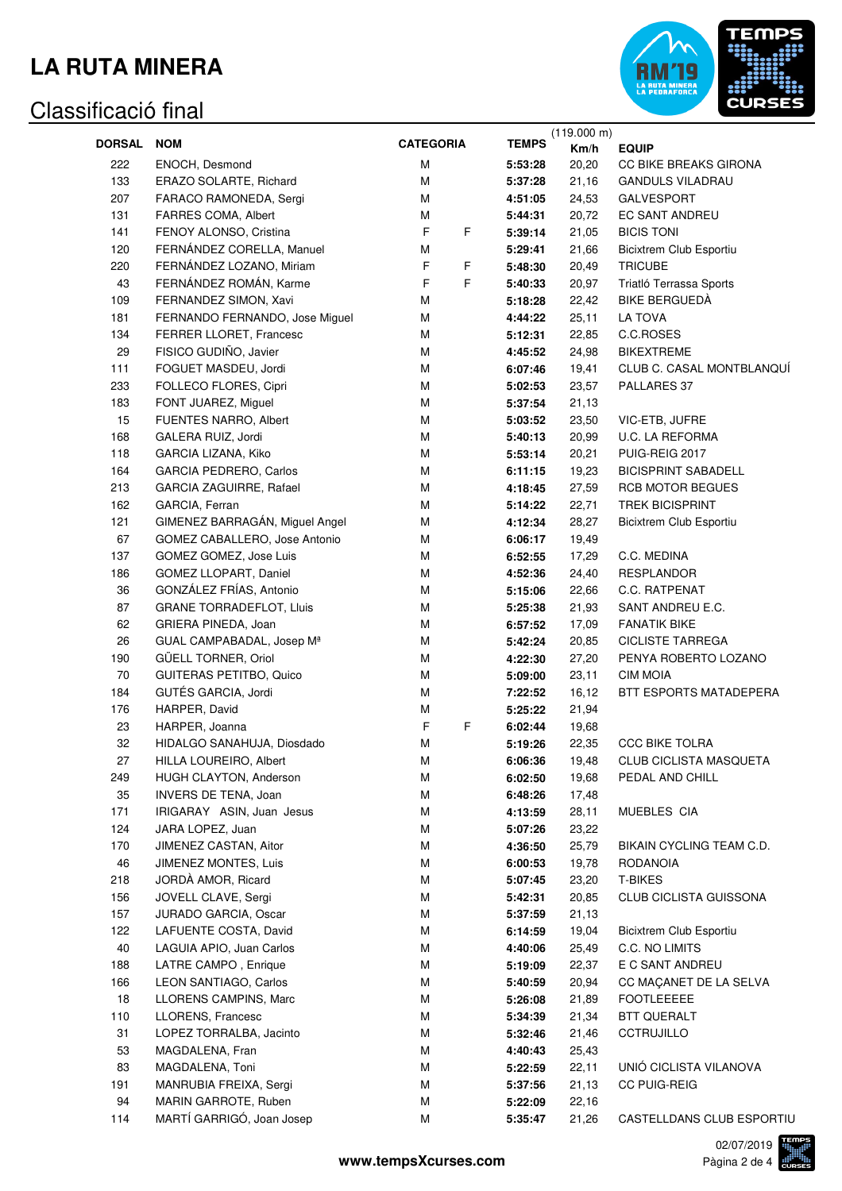

|               |                                 |                  |                    | (119.000 m) |                                |
|---------------|---------------------------------|------------------|--------------------|-------------|--------------------------------|
| <b>DORSAL</b> | <b>NOM</b>                      | <b>CATEGORIA</b> | <b>TEMPS</b>       | Km/h        | <b>EQUIP</b>                   |
| 222           | ENOCH, Desmond                  | M                | 5:53:28            | 20,20       | CC BIKE BREAKS GIRONA          |
| 133           | ERAZO SOLARTE, Richard          | M                | 5:37:28            | 21,16       | <b>GANDULS VILADRAU</b>        |
| 207           | FARACO RAMONEDA, Sergi          | M                | 4:51:05            | 24,53       | <b>GALVESPORT</b>              |
| 131           | FARRES COMA, Albert             | M                | 5:44:31            | 20,72       | <b>EC SANT ANDREU</b>          |
| 141           | FENOY ALONSO, Cristina          | F<br>F           | 5:39:14            | 21,05       | <b>BICIS TONI</b>              |
| 120           | FERNÁNDEZ CORELLA, Manuel       | M                | 5:29:41            | 21,66       | <b>Bicixtrem Club Esportiu</b> |
| 220           | FERNÁNDEZ LOZANO, Miriam        | F<br>F           | 5:48:30            | 20,49       | <b>TRICUBE</b>                 |
| 43            | FERNÁNDEZ ROMÁN, Karme          | F<br>F           | 5:40:33            | 20,97       | Triatló Terrassa Sports        |
| 109           | FERNANDEZ SIMON, Xavi           | M                | 5:18:28            | 22,42       | <b>BIKE BERGUEDA</b>           |
| 181           | FERNANDO FERNANDO, Jose Miguel  | М                | 4:44:22            | 25,11       | LA TOVA                        |
| 134           | FERRER LLORET, Francesc         | M                | 5:12:31            | 22,85       | C.C.ROSES                      |
| 29            | FISICO GUDIÑO, Javier           | M                | 4:45:52            | 24,98       | <b>BIKEXTREME</b>              |
| 111           | FOGUET MASDEU, Jordi            | M                | 6:07:46            | 19,41       | CLUB C. CASAL MONTBLANQUÍ      |
| 233           | FOLLECO FLORES, Cipri           | M                | 5:02:53            | 23,57       | PALLARES 37                    |
| 183           | FONT JUAREZ, Miguel             | M                | 5:37:54            | 21,13       |                                |
| 15            | FUENTES NARRO, Albert           | M                | 5:03:52            | 23,50       | VIC-ETB, JUFRE                 |
| 168           | GALERA RUIZ, Jordi              | M                | 5:40:13            | 20,99       | U.C. LA REFORMA                |
| 118           | GARCIA LIZANA, Kiko             | M                | 5:53:14            | 20,21       | PUIG-REIG 2017                 |
| 164           | GARCIA PEDRERO, Carlos          | M                | 6:11:15            | 19,23       | <b>BICISPRINT SABADELL</b>     |
| 213           | GARCIA ZAGUIRRE, Rafael         | M                | 4:18:45            | 27,59       | <b>RCB MOTOR BEGUES</b>        |
| 162           | GARCIA, Ferran                  | M                | 5:14:22            | 22,71       | <b>TREK BICISPRINT</b>         |
| 121           | GIMENEZ BARRAGÁN, Miguel Angel  | M                | 4:12:34            | 28,27       | <b>Bicixtrem Club Esportiu</b> |
| 67            | GOMEZ CABALLERO, Jose Antonio   | M                | 6:06:17            | 19,49       |                                |
| 137           | GOMEZ GOMEZ, Jose Luis          | M                | 6:52:55            | 17,29       | C.C. MEDINA                    |
| 186           | GOMEZ LLOPART, Daniel           | M                | 4:52:36            | 24,40       | <b>RESPLANDOR</b>              |
| 36            | GONZÁLEZ FRÍAS, Antonio         | M                | 5:15:06            | 22,66       | C.C. RATPENAT                  |
| 87            | <b>GRANE TORRADEFLOT, Lluis</b> | M                | 5:25:38            | 21,93       | SANT ANDREU E.C.               |
| 62            | GRIERA PINEDA, Joan             | M                | 6:57:52            | 17,09       | <b>FANATIK BIKE</b>            |
| 26            | GUAL CAMPABADAL, Josep Mª       | M                | 5:42:24            | 20,85       | <b>CICLISTE TARREGA</b>        |
| 190           | GÜELL TORNER, Oriol             | M                | 4:22:30            | 27,20       | PENYA ROBERTO LOZANO           |
| 70            | <b>GUITERAS PETITBO, Quico</b>  | M                | 5:09:00            | 23,11       | <b>CIM MOIA</b>                |
| 184           | GUTÉS GARCIA, Jordi             | M                | 7:22:52            | 16,12       | BTT ESPORTS MATADEPERA         |
| 176           | HARPER, David                   | M                | 5:25:22            | 21,94       |                                |
| 23            | HARPER, Joanna                  | F<br>F           | 6:02:44            | 19,68       |                                |
| 32            | HIDALGO SANAHUJA, Diosdado      | M                | 5:19:26            | 22,35       | <b>CCC BIKE TOLRA</b>          |
|               |                                 |                  |                    |             |                                |
| 27            | HILLA LOUREIRO, Albert          | М                | 6:06:36<br>6:02:50 | 19,48       | CLUB CICLISTA MASQUETA         |
| 249           | HUGH CLAYTON, Anderson          | М                |                    | 19,68       | PEDAL AND CHILL                |
| 35            | <b>INVERS DE TENA, Joan</b>     | М                | 6:48:26            | 17,48       |                                |
| 171           | IRIGARAY ASIN, Juan Jesus       | М                | 4:13:59            | 28,11       | MUEBLES CIA                    |
| 124           | JARA LOPEZ, Juan                | М                | 5:07:26            | 23,22       |                                |
| 170           | JIMENEZ CASTAN, Aitor           | М                | 4:36:50            | 25,79       | BIKAIN CYCLING TEAM C.D.       |
| 46            | <b>JIMENEZ MONTES, Luis</b>     | М                | 6:00:53            | 19,78       | RODANOIA                       |
| 218           | JORDÀ AMOR, Ricard              | М                | 5:07:45            | 23,20       | <b>T-BIKES</b>                 |
| 156           | JOVELL CLAVE, Sergi             | М                | 5:42:31            | 20,85       | CLUB CICLISTA GUISSONA         |
| 157           | JURADO GARCIA, Oscar            | М                | 5:37:59            | 21,13       |                                |
| 122           | LAFUENTE COSTA, David           | М                | 6:14:59            | 19,04       | <b>Bicixtrem Club Esportiu</b> |
| 40            | LAGUIA APIO, Juan Carlos        | М                | 4:40:06            | 25,49       | C.C. NO LIMITS                 |
| 188           | LATRE CAMPO, Enrique            | М                | 5:19:09            | 22,37       | E C SANT ANDREU                |
| 166           | LEON SANTIAGO, Carlos           | М                | 5:40:59            | 20,94       | CC MAÇANET DE LA SELVA         |
| 18            | LLORENS CAMPINS, Marc           | М                | 5:26:08            | 21,89       | <b>FOOTLEEEEE</b>              |
| 110           | LLORENS, Francesc               | М                | 5:34:39            | 21,34       | BTT QUERALT                    |
| 31            | LOPEZ TORRALBA, Jacinto         | М                | 5:32:46            | 21,46       | <b>CCTRUJILLO</b>              |
| 53            | MAGDALENA, Fran                 | М                | 4:40:43            | 25,43       |                                |
| 83            | MAGDALENA, Toni                 | М                | 5:22:59            | 22,11       | UNIÓ CICLISTA VILANOVA         |
| 191           | MANRUBIA FREIXA, Sergi          | М                | 5:37:56            | 21,13       | <b>CC PUIG-REIG</b>            |
| 94            | MARIN GARROTE, Ruben            | М                | 5:22:09            | 22,16       |                                |
| 114           | MARTÍ GARRIGÓ, Joan Josep       | М                | 5:35:47            | 21,26       | CASTELLDANS CLUB ESPORTIU      |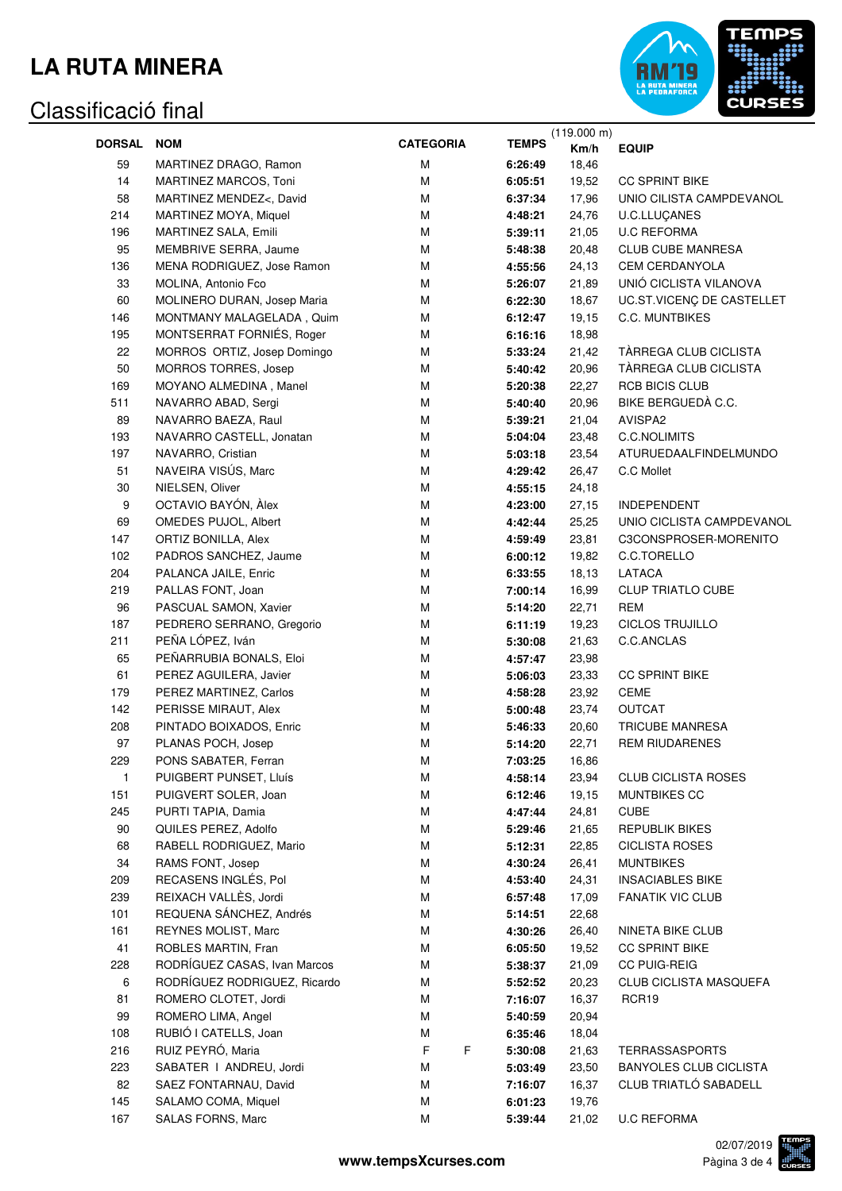

|                   |                              |                  |              | (119.000 m) |                               |
|-------------------|------------------------------|------------------|--------------|-------------|-------------------------------|
| <b>DORSAL NOM</b> |                              | <b>CATEGORIA</b> | <b>TEMPS</b> | Km/h        | <b>EQUIP</b>                  |
| 59                | MARTINEZ DRAGO, Ramon        | M                | 6:26:49      | 18,46       |                               |
| 14                | MARTINEZ MARCOS, Toni        | M                | 6:05:51      | 19,52       | <b>CC SPRINT BIKE</b>         |
| 58                | MARTINEZ MENDEZ<, David      | M                | 6:37:34      | 17,96       | UNIO CILISTA CAMPDEVANOL      |
| 214               | MARTINEZ MOYA, Miquel        | М                | 4:48:21      | 24,76       | <b>U.C.LLUCANES</b>           |
| 196               | MARTINEZ SALA, Emili         | М                | 5:39:11      | 21,05       | <b>U.C REFORMA</b>            |
| 95                | MEMBRIVE SERRA, Jaume        | М                | 5:48:38      | 20,48       | <b>CLUB CUBE MANRESA</b>      |
| 136               | MENA RODRIGUEZ, Jose Ramon   | М                | 4:55:56      | 24,13       | <b>CEM CERDANYOLA</b>         |
| 33                | MOLINA, Antonio Fco          | M                | 5:26:07      | 21,89       | UNIÓ CICLISTA VILANOVA        |
| 60                | MOLINERO DURAN, Josep Maria  | M                | 6:22:30      |             | UC.ST.VICENÇ DE CASTELLET     |
|                   |                              |                  |              | 18,67       | <b>C.C. MUNTBIKES</b>         |
| 146               | MONTMANY MALAGELADA, Quim    | M                | 6:12:47      | 19,15       |                               |
| 195               | MONTSERRAT FORNIÉS, Roger    | M                | 6:16:16      | 18,98       |                               |
| 22                | MORROS ORTIZ, Josep Domingo  | M                | 5:33:24      | 21,42       | TÀRREGA CLUB CICLISTA         |
| 50                | MORROS TORRES, Josep         | M                | 5:40:42      | 20,96       | TÀRREGA CLUB CICLISTA         |
| 169               | MOYANO ALMEDINA, Manel       | М                | 5:20:38      | 22,27       | <b>RCB BICIS CLUB</b>         |
| 511               | NAVARRO ABAD, Sergi          | M                | 5:40:40      | 20,96       | BIKE BERGUEDÀ C.C.            |
| 89                | NAVARRO BAEZA, Raul          | M                | 5:39:21      | 21,04       | AVISPA2                       |
| 193               | NAVARRO CASTELL, Jonatan     | M                | 5:04:04      | 23,48       | C.C.NOLIMITS                  |
| 197               | NAVARRO, Cristian            | M                | 5:03:18      | 23,54       | ATURUEDAALFINDELMUNDO         |
| 51                | NAVEIRA VISÚS, Marc          | M                | 4:29:42      | 26,47       | C.C Mollet                    |
| 30                | NIELSEN, Oliver              | M                | 4:55:15      | 24,18       |                               |
| 9                 | OCTAVIO BAYÓN, Àlex          | M                | 4:23:00      | 27,15       | <b>INDEPENDENT</b>            |
| 69                | OMEDES PUJOL, Albert         | M                | 4:42:44      | 25,25       | UNIO CICLISTA CAMPDEVANOL     |
| 147               | ORTIZ BONILLA, Alex          | M                | 4:59:49      | 23,81       | C3CONSPROSER-MORENITO         |
| 102               | PADROS SANCHEZ, Jaume        | M                | 6:00:12      | 19,82       | C.C.TORELLO                   |
| 204               | PALANCA JAILE, Enric         | М                | 6:33:55      | 18,13       | LATACA                        |
| 219               | PALLAS FONT, Joan            | М                | 7:00:14      | 16,99       | <b>CLUP TRIATLO CUBE</b>      |
| 96                | PASCUAL SAMON, Xavier        | М                | 5:14:20      | 22,71       | <b>REM</b>                    |
| 187               | PEDRERO SERRANO, Gregorio    | М                | 6:11:19      | 19,23       | <b>CICLOS TRUJILLO</b>        |
| 211               | PEÑA LÓPEZ, Iván             | М                | 5:30:08      | 21,63       | C.C.ANCLAS                    |
| 65                | PEÑARRUBIA BONALS, Eloi      | М                | 4:57:47      | 23,98       |                               |
| 61                | PEREZ AGUILERA, Javier       | М                | 5:06:03      |             | <b>CC SPRINT BIKE</b>         |
|                   |                              |                  |              | 23,33       | <b>CEME</b>                   |
| 179               | PEREZ MARTINEZ, Carlos       | М                | 4:58:28      | 23,92       | <b>OUTCAT</b>                 |
| 142               | PERISSE MIRAUT, Alex         | М                | 5:00:48      | 23,74       |                               |
| 208               | PINTADO BOIXADOS, Enric      | М                | 5:46:33      | 20,60       | <b>TRICUBE MANRESA</b>        |
| 97                | PLANAS POCH, Josep           | М                | 5:14:20      | 22,71       | <b>REM RIUDARENES</b>         |
| 229               | PONS SABATER, Ferran         | м                | 7:03:25      | 16,86       |                               |
| 1                 | PUIGBERT PUNSET, Lluís       | M                | 4:58:14      | 23,94       | <b>CLUB CICLISTA ROSES</b>    |
| 151               | PUIGVERT SOLER, Joan         | M                | 6:12:46      | 19,15       | MUNTBIKES CC                  |
| 245               | PURTI TAPIA, Damia           | М                | 4:47:44      | 24,81       | <b>CUBE</b>                   |
| 90                | QUILES PEREZ, Adolfo         | М                | 5:29:46      | 21,65       | <b>REPUBLIK BIKES</b>         |
| 68                | RABELL RODRIGUEZ, Mario      | М                | 5:12:31      | 22,85       | <b>CICLISTA ROSES</b>         |
| 34                | RAMS FONT, Josep             | М                | 4:30:24      | 26,41       | <b>MUNTBIKES</b>              |
| 209               | RECASENS INGLÉS, Pol         | М                | 4:53:40      | 24,31       | <b>INSACIABLES BIKE</b>       |
| 239               | REIXACH VALLÈS, Jordi        | М                | 6:57:48      | 17,09       | <b>FANATIK VIC CLUB</b>       |
| 101               | REQUENA SÁNCHEZ, Andrés      | М                | 5:14:51      | 22,68       |                               |
| 161               | REYNES MOLIST, Marc          | М                | 4:30:26      | 26,40       | NINETA BIKE CLUB              |
| 41                | ROBLES MARTIN, Fran          | М                | 6:05:50      | 19,52       | <b>CC SPRINT BIKE</b>         |
| 228               | RODRÍGUEZ CASAS, Ivan Marcos | М                | 5:38:37      | 21,09       | <b>CC PUIG-REIG</b>           |
| 6                 | RODRÍGUEZ RODRIGUEZ, Ricardo | М                | 5:52:52      | 20,23       | <b>CLUB CICLISTA MASQUEFA</b> |
| 81                | ROMERO CLOTET, Jordi         | М                | 7:16:07      | 16,37       | RCR19                         |
| 99                | ROMERO LIMA, Angel           | М                | 5:40:59      | 20,94       |                               |
| 108               | RUBIÓ I CATELLS, Joan        | М                | 6:35:46      | 18,04       |                               |
| 216               | RUIZ PEYRÓ, Maria            | F<br>F           | 5:30:08      | 21,63       | <b>TERRASSASPORTS</b>         |
| 223               | SABATER   ANDREU, Jordi      | M                | 5:03:49      | 23,50       | <b>BANYOLES CLUB CICLISTA</b> |
| 82                | SAEZ FONTARNAU, David        | М                | 7:16:07      | 16,37       | CLUB TRIATLÓ SABADELL         |
| 145               | SALAMO COMA, Miquel          | M                | 6:01:23      | 19,76       |                               |
| 167               | SALAS FORNS, Marc            | M                | 5:39:44      | 21,02       | <b>U.C REFORMA</b>            |
|                   |                              |                  |              |             |                               |